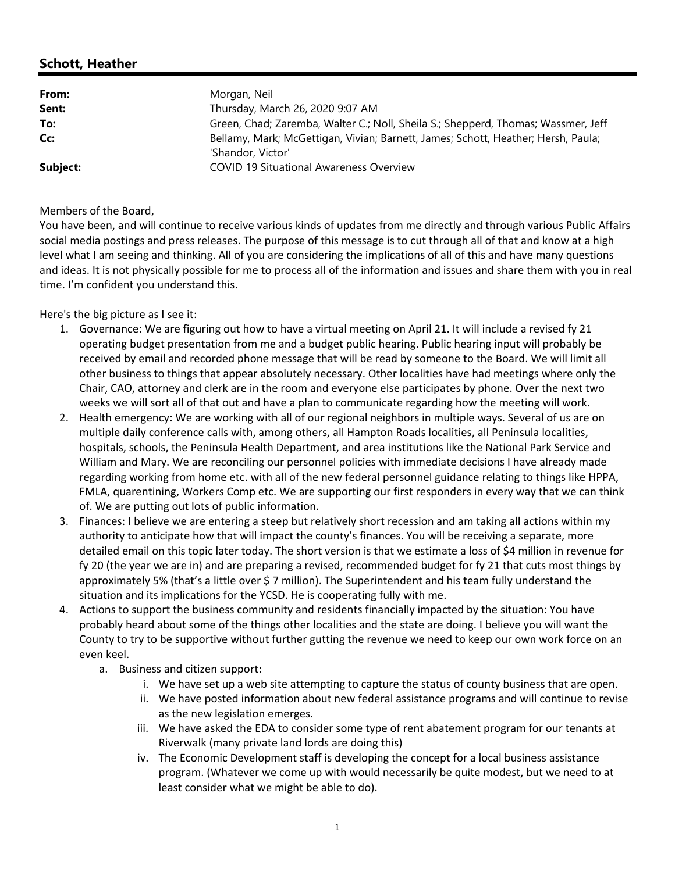## **Schott, Heather**

| From:    | Morgan, Neil                                                                                           |
|----------|--------------------------------------------------------------------------------------------------------|
| Sent:    | Thursday, March 26, 2020 9:07 AM                                                                       |
| To:      | Green, Chad; Zaremba, Walter C.; Noll, Sheila S.; Shepperd, Thomas; Wassmer, Jeff                      |
| Cc:      | Bellamy, Mark; McGettigan, Vivian; Barnett, James; Schott, Heather; Hersh, Paula;<br>'Shandor, Victor' |
| Subject: | <b>COVID 19 Situational Awareness Overview</b>                                                         |

## Members of the Board,

 time. I'm confident you understand this. You have been, and will continue to receive various kinds of updates from me directly and through various Public Affairs social media postings and press releases. The purpose of this message is to cut through all of that and know at a high level what I am seeing and thinking. All of you are considering the implications of all of this and have many questions and ideas. It is not physically possible for me to process all of the information and issues and share them with you in real

Here's the big picture as I see it:

- Chair, CAO, attorney and clerk are in the room and everyone else participates by phone. Over the next two 1. Governance: We are figuring out how to have a virtual meeting on April 21. It will include a revised fy 21 operating budget presentation from me and a budget public hearing. Public hearing input will probably be received by email and recorded phone message that will be read by someone to the Board. We will limit all other business to things that appear absolutely necessary. Other localities have had meetings where only the weeks we will sort all of that out and have a plan to communicate regarding how the meeting will work.
- 2. Health emergency: We are working with all of our regional neighbors in multiple ways. Several of us are on multiple daily conference calls with, among others, all Hampton Roads localities, all Peninsula localities, hospitals, schools, the Peninsula Health Department, and area institutions like the National Park Service and William and Mary. We are reconciling our personnel policies with immediate decisions I have already made regarding working from home etc. with all of the new federal personnel guidance relating to things like HPPA, FMLA, quarentining, Workers Comp etc. We are supporting our first responders in every way that we can think of. We are putting out lots of public information.
- 3. Finances: I believe we are entering a steep but relatively short recession and am taking all actions within my authority to anticipate how that will impact the county's finances. You will be receiving a separate, more detailed email on this topic later today. The short version is that we estimate a loss of \$4 million in revenue for fy 20 (the year we are in) and are preparing a revised, recommended budget for fy 21 that cuts most things by approximately 5% (that's a little over \$ 7 million). The Superintendent and his team fully understand the situation and its implications for the YCSD. He is cooperating fully with me.
- 4. Actions to support the business community and residents financially impacted by the situation: You have probably heard about some of the things other localities and the state are doing. I believe you will want the County to try to be supportive without further gutting the revenue we need to keep our own work force on an even keel.
	- a. Business and citizen support:
		- i. We have set up a web site attempting to capture the status of county business that are open.
		- ii. We have posted information about new federal assistance programs and will continue to revise as the new legislation emerges.
		- iii. We have asked the EDA to consider some type of rent abatement program for our tenants at Riverwalk (many private land lords are doing this)
		- program. (Whatever we come up with would necessarily be quite modest, but we need to at iv. The Economic Development staff is developing the concept for a local business assistance least consider what we might be able to do).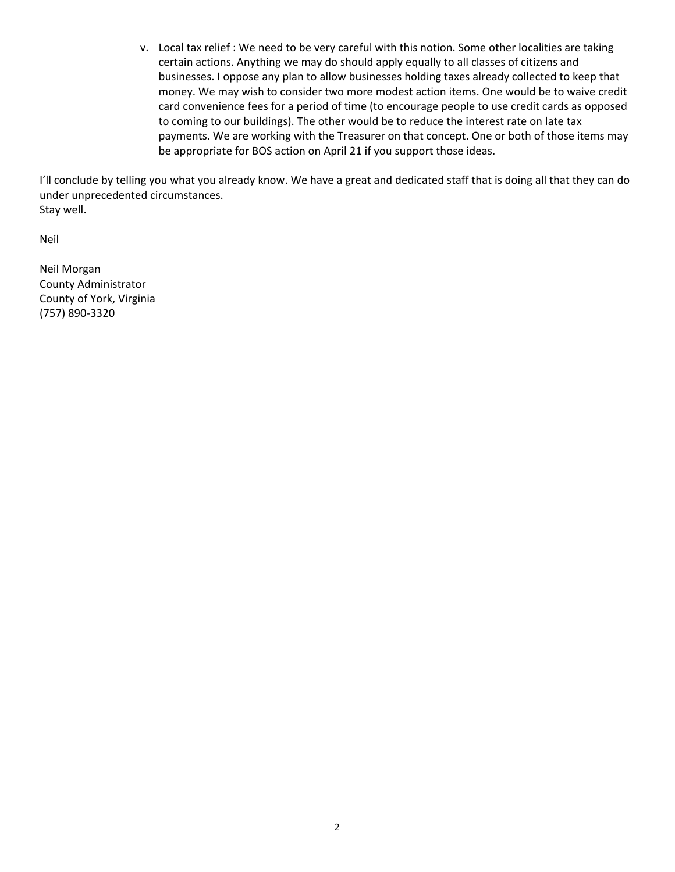to coming to our buildings). The other would be to reduce the interest rate on late tax payments. We are working with the Treasurer on that concept. One or both of those items may v. Local tax relief : We need to be very careful with this notion. Some other localities are taking certain actions. Anything we may do should apply equally to all classes of citizens and businesses. I oppose any plan to allow businesses holding taxes already collected to keep that money. We may wish to consider two more modest action items. One would be to waive credit card convenience fees for a period of time (to encourage people to use credit cards as opposed be appropriate for BOS action on April 21 if you support those ideas.

 I'll conclude by telling you what you already know. We have a great and dedicated staff that is doing all that they can do under unprecedented circumstances. Stay well.

Neil

Neil Morgan County Administrator County of York, Virginia (757) 890‐3320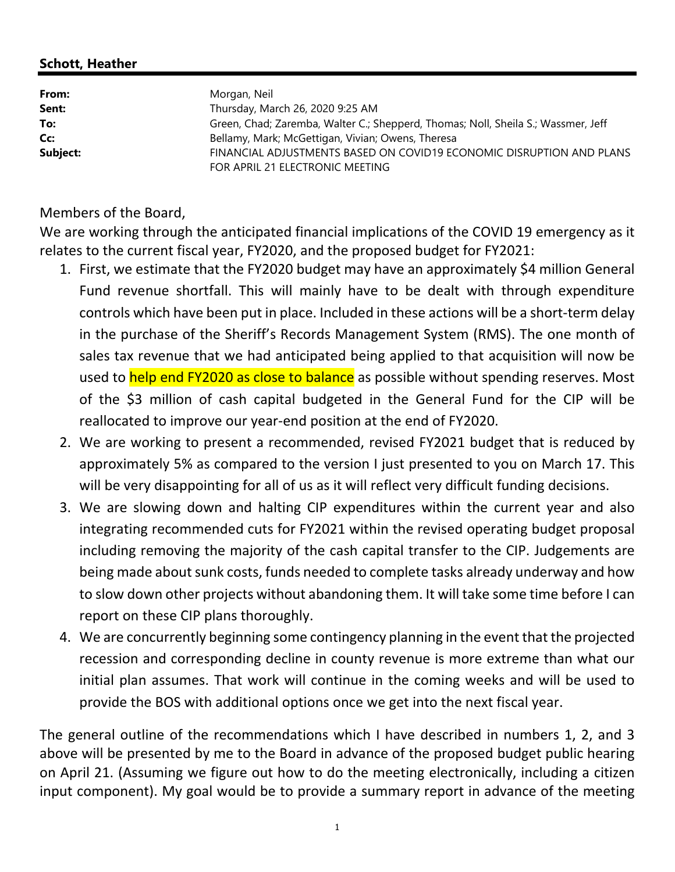## **Schott, Heather**

| From:    | Morgan, Neil                                                                      |
|----------|-----------------------------------------------------------------------------------|
| Sent:    | Thursday, March 26, 2020 9:25 AM                                                  |
| To:      | Green, Chad; Zaremba, Walter C.; Shepperd, Thomas; Noll, Sheila S.; Wassmer, Jeff |
| Cc:      | Bellamy, Mark; McGettigan, Vivian; Owens, Theresa                                 |
| Subject: | FINANCIAL ADJUSTMENTS BASED ON COVID19 ECONOMIC DISRUPTION AND PLANS              |
|          | FOR APRIL 21 ELECTRONIC MEETING                                                   |

Members of the Board,

We are working through the anticipated financial implications of the COVID 19 emergency as it relates to the current fiscal year, FY2020, and the proposed budget for FY2021:

- Fund revenue shortfall. This will mainly have to be dealt with through expenditure of the \$3 million of cash capital budgeted in the General Fund for the CIP will be 1. First, we estimate that the FY2020 budget may have an approximately \$4 million General controls which have been put in place. Included in these actions will be a short‐term delay in the purchase of the Sheriff's Records Management System (RMS). The one month of sales tax revenue that we had anticipated being applied to that acquisition will now be used to help end FY2020 as close to balance as possible without spending reserves. Most reallocated to improve our year‐end position at the end of FY2020.
- approximately 5% as compared to the version I just presented to you on March 17. This 2. We are working to present a recommended, revised FY2021 budget that is reduced by will be very disappointing for all of us as it will reflect very difficult funding decisions.
- being made about sunk costs, funds needed to complete tasks already underway and how to slow down other projects without abandoning them. It will take some time before I can 3. We are slowing down and halting CIP expenditures within the current year and also integrating recommended cuts for FY2021 within the revised operating budget proposal including removing the majority of the cash capital transfer to the CIP. Judgements are report on these CIP plans thoroughly.
- initial plan assumes. That work will continue in the coming weeks and will be used to 4. We are concurrently beginning some contingency planning in the event that the projected recession and corresponding decline in county revenue is more extreme than what our provide the BOS with additional options once we get into the next fiscal year.

The general outline of the recommendations which I have described in numbers 1, 2, and 3 on April 21. (Assuming we figure out how to do the meeting electronically, including a citizen input component). My goal would be to provide a summary report in advance of the meeting above will be presented by me to the Board in advance of the proposed budget public hearing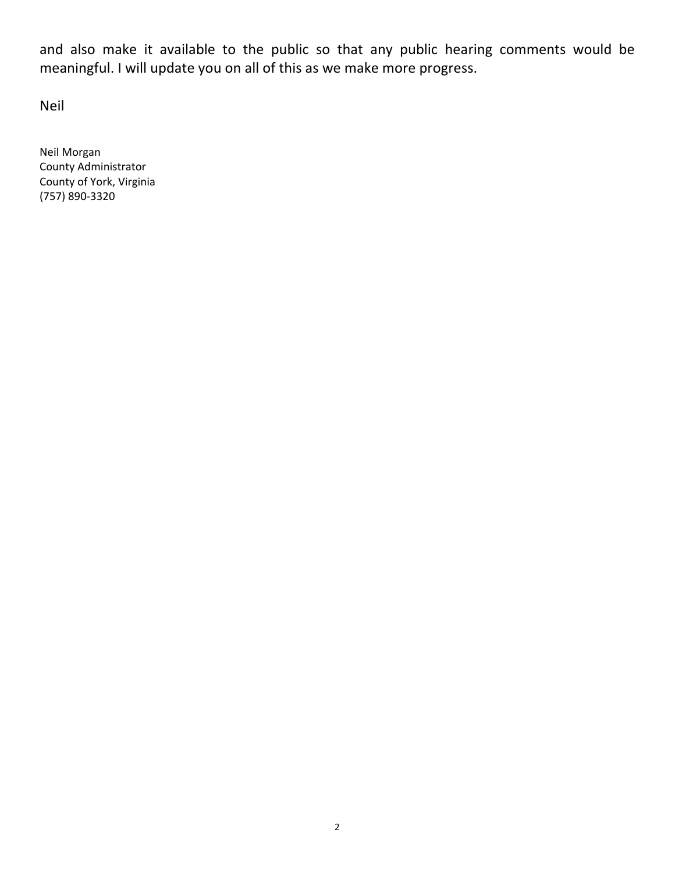and also make it available to the public so that any public hearing comments would be meaningful. I will update you on all of this as we make more progress.

Neil

Neil Morgan County Administrator County of York, Virginia (757) 890‐3320